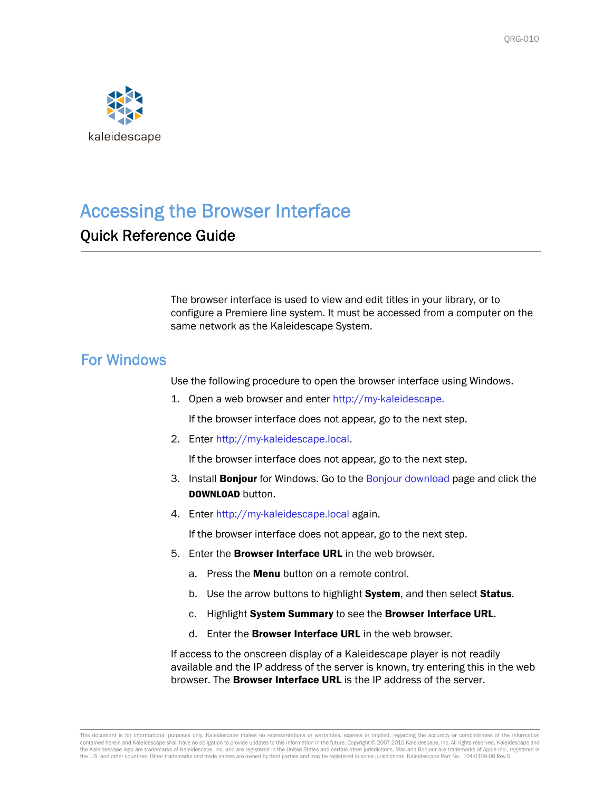

# Accessing the Browser Interface

# Quick Reference Guide

The browser interface is used to view and edit titles in your library, or to configure a Premiere line system. It must be accessed from a computer on the same network as the Kaleidescape System.

#### For Windows

Use the following procedure to open the browser interface using Windows.

1. Open a web browser and enter http://my-kaleidescape.

If the browser interface does not appear, go to the next step.

2. Enter [http://my-kaleidescape.local.](http://my-kaleidescape.local)

If the browser interface does not appear, go to the next step.

- 3. Install **Bonjour** for Windows. Go to the [Bonjour download](http://support.apple.com/downloads/Bonjour_for_Windows) page and click the DOWNLOAD button.
- 4. Enter<http://my-kaleidescape.local>again.

If the browser interface does not appear, go to the next step.

- 5. Enter the **Browser Interface URL** in the web browser.
	- a. Press the **Menu** button on a remote control.
	- b. Use the arrow buttons to highlight System, and then select Status.
	- c. Highlight System Summary to see the Browser Interface URL.
	- d. Enter the **Browser Interface URL** in the web browser.

If access to the onscreen display of a Kaleidescape player is not readily available and the IP address of the server is known, try entering this in the web browser. The **Browser Interface URL** is the IP address of the server.

This document is for informational purposes only. Kaleidescape makes no representations or warranties, express or implied, regarding the accuracy or completeness of the information contained herein and Kaleidescape shall have no obligation to provide updates to this information in the future. Copyright © 2007-2015 Kaleidescape, Inc. All rights reserved. Kaleidescape and the Kaleidescape logo are trademarks of Kaleidescape, Inc. and are registered in the United States and certain other jurisdictions. Mac and Bonjour are trademarks of Apple Inc., registered in the U.S. and other countries. Other trademarks and trade names are owned by third parties and may be registered in some jurisdictions. Kaleidescape Part No. 101-0109-00 Rev 5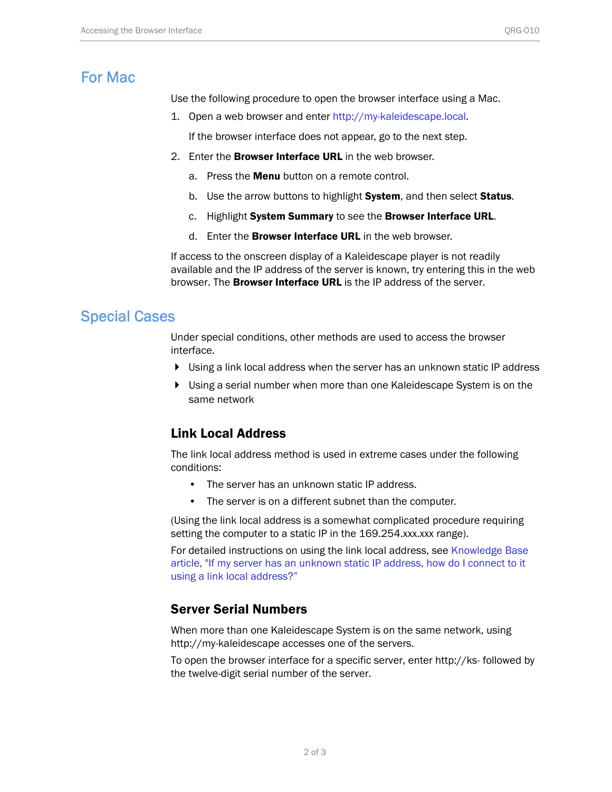## For Mac

Use the following procedure to open the browser interface using a Mac.

1. Open a web browser and enter http://my-kaleidescape.local.

If the browser interface does not appear, go to the next step.

- 2. Enter the **Browser Interface URL** in the web browser.
	- a. Press the **Menu** button on a remote control.
	- b. Use the arrow buttons to highlight System, and then select Status.
	- c. Highlight System Summary to see the Browser Interface URL.
	- d. Enter the Browser Interface URL in the web browser.

If access to the onscreen display of a Kaleidescape player is not readily available and the IP address of the server is known, try entering this in the web browser. The **Browser Interface URL** is the IP address of the server.

#### Special Cases

Under special conditions, other methods are used to access the browser interface.

- Using a link local address when the server has an unknown static IP address
- Using a serial number when more than one Kaleidescape System is on the same network

### Link Local Address

The link local address method is used in extreme cases under the following conditions:

- The server has an unknown static IP address.
- The server is on a different subnet than the computer.

(Using the link local address is a somewhat complicated procedure requiring setting the computer to a static IP in the 169.254.xxx.xxx range).

For detailed instructions on using the link local address, see [Knowledge Base](http://www.kaleidescape.com/go/link-local)  [article, "If my server has an unknown static IP address, how do I connect to it](http://www.kaleidescape.com/go/link-local)  using a link local address?"

#### Server Serial Numbers

When more than one Kaleidescape System is on the same network, using http://my-kaleidescape accesses one of the servers.

To open the browser interface for a specific server, enter http://ks- followed by the twelve-digit serial number of the server.